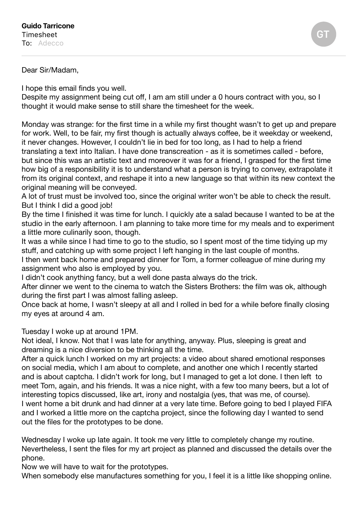## Dear Sir/Madam,

I hope this email finds you well.

Despite my assignment being cut off, I am am still under a 0 hours contract with you, so I thought it would make sense to still share the timesheet for the week.

Monday was strange: for the first time in a while my first thought wasn't to get up and prepare for work. Well, to be fair, my first though is actually always coffee, be it weekday or weekend, it never changes. However, I couldn't lie in bed for too long, as I had to help a friend translating a text into Italian. I have done transcreation - as it is sometimes called - before, but since this was an artistic text and moreover it was for a friend, I grasped for the first time how big of a responsibility it is to understand what a person is trying to convey, extrapolate it from its original context, and reshape it into a new language so that within its new context the original meaning will be conveyed.

A lot of trust must be involved too, since the original writer won't be able to check the result. But I think I did a good job!

By the time I finished it was time for lunch. I quickly ate a salad because I wanted to be at the studio in the early afternoon. I am planning to take more time for my meals and to experiment a little more culinarily soon, though.

It was a while since I had time to go to the studio, so I spent most of the time tidying up my stuff, and catching up with some project I left hanging in the last couple of months.

I then went back home and prepared dinner for Tom, a former colleague of mine during my assignment who also is employed by you.

I didn't cook anything fancy, but a well done pasta always do the trick.

After dinner we went to the cinema to watch the Sisters Brothers: the film was ok, although during the first part I was almost falling asleep.

Once back at home, I wasn't sleepy at all and I rolled in bed for a while before finally closing my eyes at around 4 am.

Tuesday I woke up at around 1PM.

Not ideal, I know. Not that I was late for anything, anyway. Plus, sleeping is great and dreaming is a nice diversion to be thinking all the time.

After a quick lunch I worked on my art projects: a video about shared emotional responses on social media, which I am about to complete, and another one which I recently started and is about captcha. I didn't work for long, but I managed to get a lot done. I then left to meet Tom, again, and his friends. It was a nice night, with a few too many beers, but a lot of interesting topics discussed, like art, irony and nostalgia (yes, that was me, of course). I went home a bit drunk and had dinner at a very late time. Before going to bed I played FIFA and I worked a little more on the captcha project, since the following day I wanted to send out the files for the prototypes to be done.

Wednesday I woke up late again. It took me very little to completely change my routine. Nevertheless, I sent the files for my art project as planned and discussed the details over the phone.

Now we will have to wait for the prototypes.

When somebody else manufactures something for you, I feel it is a little like shopping online.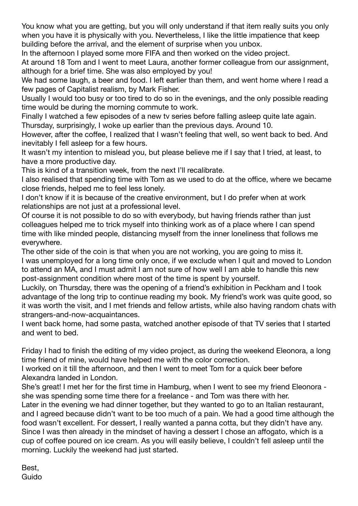You know what you are getting, but you will only understand if that item really suits you only when you have it is physically with you. Nevertheless, I like the little impatience that keep building before the arrival, and the element of surprise when you unbox.

In the afternoon I played some more FIFA and then worked on the video project.

At around 18 Tom and I went to meet Laura, another former colleague from our assignment, although for a brief time. She was also employed by you!

We had some laugh, a beer and food. I left earlier than them, and went home where I read a few pages of Capitalist realism, by Mark Fisher.

Usually I would too busy or too tired to do so in the evenings, and the only possible reading time would be during the morning commute to work.

Finally I watched a few episodes of a new tv series before falling asleep quite late again. Thursday, surprisingly, I woke up earlier than the previous days. Around 10.

However, after the coffee, I realized that I wasn't feeling that well, so went back to bed. And inevitably I fell asleep for a few hours.

It wasn't my intention to mislead you, but please believe me if I say that I tried, at least, to have a more productive day.

This is kind of a transition week, from the next I'll recalibrate.

I also realised that spending time with Tom as we used to do at the office, where we became close friends, helped me to feel less lonely.

I don't know if it is because of the creative environment, but I do prefer when at work relationships are not just at a professional level.

Of course it is not possible to do so with everybody, but having friends rather than just colleagues helped me to trick myself into thinking work as of a place where I can spend time with like minded people, distancing myself from the inner loneliness that follows me everywhere.

The other side of the coin is that when you are not working, you are going to miss it. I was unemployed for a long time only once, if we exclude when I quit and moved to London to attend an MA, and I must admit I am not sure of how well I am able to handle this new post-assignment condition where most of the time is spent by yourself.

Luckily, on Thursday, there was the opening of a friend's exhibition in Peckham and I took advantage of the long trip to continue reading my book. My friend's work was quite good, so it was worth the visit, and I met friends and fellow artists, while also having random chats with strangers-and-now-acquaintances.

I went back home, had some pasta, watched another episode of that TV series that I started and went to bed.

Friday I had to finish the editing of my video project, as during the weekend Eleonora, a long time friend of mine, would have helped me with the color correction.

I worked on it till the afternoon, and then I went to meet Tom for a quick beer before Alexandra landed in London.

She's great! I met her for the first time in Hamburg, when I went to see my friend Eleonora she was spending some time there for a freelance - and Tom was there with her.

Later in the evening we had dinner together, but they wanted to go to an Italian restaurant, and I agreed because didn't want to be too much of a pain. We had a good time although the food wasn't excellent. For dessert, I really wanted a panna cotta, but they didn't have any. Since I was then already in the mindset of having a dessert I chose an affogato, which is a cup of coffee poured on ice cream. As you will easily believe, I couldn't fell asleep until the morning. Luckily the weekend had just started.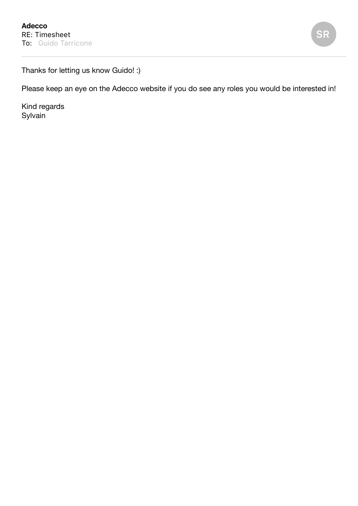

Thanks for letting us know Guido! :)

Please keep an eye on the Adecco website if you do see any roles you would be interested in!

Kind regards Sylvain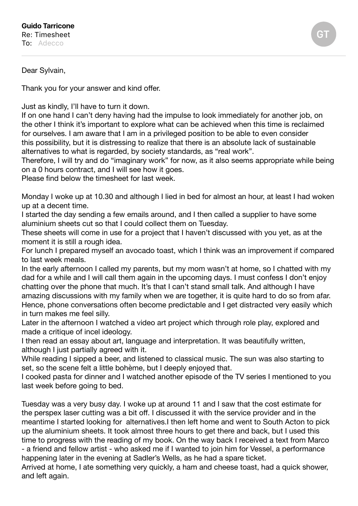Dear Sylvain,

Thank you for your answer and kind offer.

Just as kindly, I'll have to turn it down.

If on one hand I can't deny having had the impulse to look immediately for another job, on the other I think it's important to explore what can be achieved when this time is reclaimed for ourselves. I am aware that I am in a privileged position to be able to even consider this possibility, but it is distressing to realize that there is an absolute lack of sustainable alternatives to what is regarded, by society standards, as "real work".

Therefore, I will try and do "imaginary work" for now, as it also seems appropriate while being on a 0 hours contract, and I will see how it goes.

Please find below the timesheet for last week.

Monday I woke up at 10.30 and although I lied in bed for almost an hour, at least I had woken up at a decent time.

I started the day sending a few emails around, and I then called a supplier to have some aluminium sheets cut so that I could collect them on Tuesday.

These sheets will come in use for a project that I haven't discussed with you yet, as at the moment it is still a rough idea.

For lunch I prepared myself an avocado toast, which I think was an improvement if compared to last week meals.

In the early afternoon I called my parents, but my mom wasn't at home, so I chatted with my dad for a while and I will call them again in the upcoming days. I must confess I don't enjoy chatting over the phone that much. It's that I can't stand small talk. And although I have amazing discussions with my family when we are together, it is quite hard to do so from afar. Hence, phone conversations often become predictable and I get distracted very easily which in turn makes me feel silly.

Later in the afternoon I watched a video art project which through role play, explored and made a critique of incel ideology.

I then read an essay about art, language and interpretation. It was beautifully written, although I just partially agreed with it.

While reading I sipped a beer, and listened to classical music. The sun was also starting to set, so the scene felt a little bohème, but I deeply enjoyed that.

I cooked pasta for dinner and I watched another episode of the TV series I mentioned to you last week before going to bed.

Tuesday was a very busy day. I woke up at around 11 and I saw that the cost estimate for the perspex laser cutting was a bit off. I discussed it with the service provider and in the meantime I started looking for alternatives.I then left home and went to South Acton to pick up the aluminium sheets. It took almost three hours to get there and back, but I used this time to progress with the reading of my book. On the way back I received a text from Marco - a friend and fellow artist - who asked me if I wanted to join him for Vessel, a performance happening later in the evening at Sadler's Wells, as he had a spare ticket.

Arrived at home, I ate something very quickly, a ham and cheese toast, had a quick shower, and left again.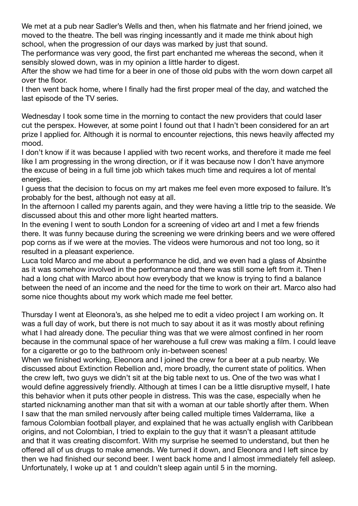We met at a pub near Sadler's Wells and then, when his flatmate and her friend joined, we moved to the theatre. The bell was ringing incessantly and it made me think about high school, when the progression of our days was marked by just that sound.

The performance was very good, the first part enchanted me whereas the second, when it sensibly slowed down, was in my opinion a little harder to digest.

After the show we had time for a beer in one of those old pubs with the worn down carpet all over the floor.

I then went back home, where I finally had the first proper meal of the day, and watched the last episode of the TV series.

Wednesday I took some time in the morning to contact the new providers that could laser cut the perspex. However, at some point I found out that I hadn't been considered for an art prize I applied for. Although it is normal to encounter rejections, this news heavily affected my mood.

I don't know if it was because I applied with two recent works, and therefore it made me feel like I am progressing in the wrong direction, or if it was because now I don't have anymore the excuse of being in a full time job which takes much time and requires a lot of mental energies.

I guess that the decision to focus on my art makes me feel even more exposed to failure. It's probably for the best, although not easy at all.

In the afternoon I called my parents again, and they were having a little trip to the seaside. We discussed about this and other more light hearted matters.

In the evening I went to south London for a screening of video art and I met a few friends there. It was funny because during the screening we were drinking beers and we were offered pop corns as if we were at the movies. The videos were humorous and not too long, so it resulted in a pleasant experience.

Luca told Marco and me about a performance he did, and we even had a glass of Absinthe as it was somehow involved in the performance and there was still some left from it. Then I had a long chat with Marco about how everybody that we know is trying to find a balance between the need of an income and the need for the time to work on their art. Marco also had some nice thoughts about my work which made me feel better.

Thursday I went at Eleonora's, as she helped me to edit a video project I am working on. It was a full day of work, but there is not much to say about it as it was mostly about refining what I had already done. The peculiar thing was that we were almost confined in her room because in the communal space of her warehouse a full crew was making a film. I could leave for a cigarette or go to the bathroom only in-between scenes!

When we finished working, Eleonora and I joined the crew for a beer at a pub nearby. We discussed about Extinction Rebellion and, more broadly, the current state of politics. When the crew left, two guys we didn't sit at the big table next to us. One of the two was what I would define aggressively friendly. Although at times I can be a little disruptive myself, I hate this behavior when it puts other people in distress. This was the case, especially when he started nicknaming another man that sit with a woman at our table shortly after them. When I saw that the man smiled nervously after being called multiple times Valderrama, like a famous Colombian football player, and explained that he was actually english with Caribbean origins, and not Colombian, I tried to explain to the guy that it wasn't a pleasant attitude and that it was creating discomfort. With my surprise he seemed to understand, but then he offered all of us drugs to make amends. We turned it down, and Eleonora and I left since by then we had finished our second beer. I went back home and I almost immediately fell asleep. Unfortunately, I woke up at 1 and couldn't sleep again until 5 in the morning.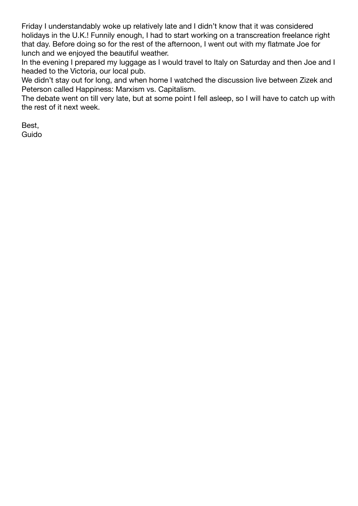Friday I understandably woke up relatively late and I didn't know that it was considered holidays in the U.K.! Funnily enough, I had to start working on a transcreation freelance right that day. Before doing so for the rest of the afternoon, I went out with my flatmate Joe for lunch and we enjoyed the beautiful weather.

In the evening I prepared my luggage as I would travel to Italy on Saturday and then Joe and I headed to the Victoria, our local pub.

We didn't stay out for long, and when home I watched the discussion live between Zizek and Peterson called Happiness: Marxism vs. Capitalism.

The debate went on till very late, but at some point I fell asleep, so I will have to catch up with the rest of it next week.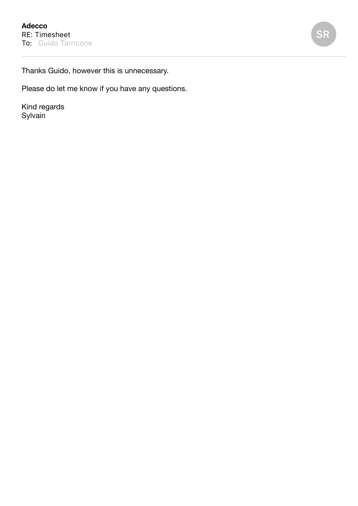**SR**

Thanks Guido, however this is unnecessary.

Please do let me know if you have any questions.

Kind regards **Sylvain**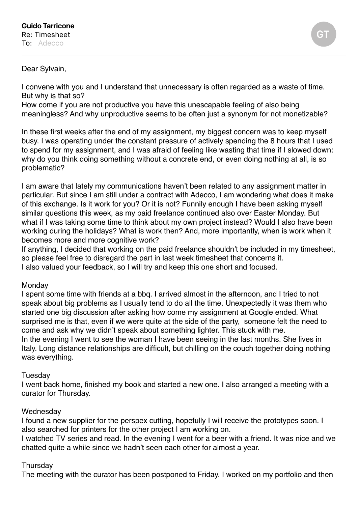## Dear Sylvain,

I convene with you and I understand that unnecessary is often regarded as a waste of time. But why is that so?

How come if you are not productive you have this unescapable feeling of also being meaningless? And why unproductive seems to be often just a synonym for not monetizable?

In these first weeks after the end of my assignment, my biggest concern was to keep myself busy. I was operating under the constant pressure of actively spending the 8 hours that I used to spend for my assignment, and I was afraid of feeling like wasting that time if I slowed down: why do you think doing something without a concrete end, or even doing nothing at all, is so problematic?

I am aware that lately my communications haven't been related to any assignment matter in particular. But since I am still under a contract with Adecco, I am wondering what does it make of this exchange. Is it work for you? Or it is not? Funnily enough I have been asking myself similar questions this week, as my paid freelance continued also over Easter Monday. But what if I was taking some time to think about my own project instead? Would I also have been working during the holidays? What is work then? And, more importantly, when is work when it becomes more and more cognitive work?

If anything, I decided that working on the paid freelance shouldn't be included in my timesheet, so please feel free to disregard the part in last week timesheet that concerns it. I also valued your feedback, so I will try and keep this one short and focused.

### Monday

I spent some time with friends at a bbq. I arrived almost in the afternoon, and I tried to not speak about big problems as I usually tend to do all the time. Unexpectedly it was them who started one big discussion after asking how come my assignment at Google ended. What surprised me is that, even if we were quite at the side of the party, someone felt the need to come and ask why we didn't speak about something lighter. This stuck with me. In the evening I went to see the woman I have been seeing in the last months. She lives in Italy. Long distance relationships are difficult, but chilling on the couch together doing nothing was everything.

### **Tuesday**

I went back home, finished my book and started a new one. I also arranged a meeting with a curator for Thursday.

### **Wednesday**

I found a new supplier for the perspex cutting, hopefully I will receive the prototypes soon. I also searched for printers for the other project I am working on.

I watched TV series and read. In the evening I went for a beer with a friend. It was nice and we chatted quite a while since we hadn't seen each other for almost a year.

# **Thursdav**

The meeting with the curator has been postponed to Friday. I worked on my portfolio and then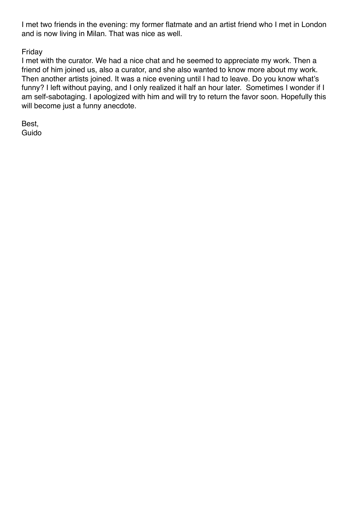I met two friends in the evening: my former flatmate and an artist friend who I met in London and is now living in Milan. That was nice as well.

# Friday

I met with the curator. We had a nice chat and he seemed to appreciate my work. Then a friend of him joined us, also a curator, and she also wanted to know more about my work. Then another artists joined. It was a nice evening until I had to leave. Do you know what's funny? I left without paying, and I only realized it half an hour later. Sometimes I wonder if I am self-sabotaging. I apologized with him and will try to return the favor soon. Hopefully this will become just a funny anecdote.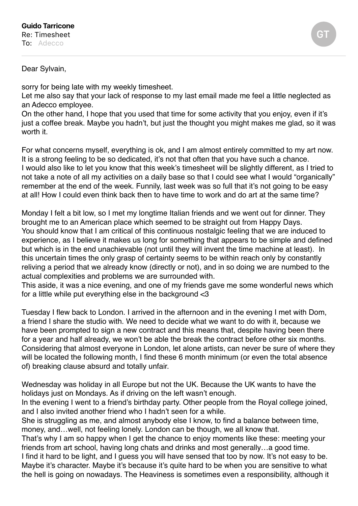### Dear Sylvain,

sorry for being late with my weekly timesheet.

Let me also say that your lack of response to my last email made me feel a little neglected as an Adecco employee.

On the other hand, I hope that you used that time for some activity that you enjoy, even if it's just a coffee break. Maybe you hadn't, but just the thought you might makes me glad, so it was worth it.

For what concerns myself, everything is ok, and I am almost entirely committed to my art now. It is a strong feeling to be so dedicated, it's not that often that you have such a chance. I would also like to let you know that this week's timesheet will be slightly different, as I tried to not take a note of all my activities on a daily base so that I could see what I would "organically" remember at the end of the week. Funnily, last week was so full that it's not going to be easy at all! How I could even think back then to have time to work and do art at the same time?

Monday I felt a bit low, so I met my longtime Italian friends and we went out for dinner. They brought me to an American place which seemed to be straight out from Happy Days. You should know that I am critical of this continuous nostalgic feeling that we are induced to experience, as I believe it makes us long for something that appears to be simple and defined but which is in the end unachievable (not until they will invent the time machine at least). In this uncertain times the only grasp of certainty seems to be within reach only by constantly reliving a period that we already know (directly or not), and in so doing we are numbed to the actual complexities and problems we are surrounded with.

This aside, it was a nice evening, and one of my friends gave me some wonderful news which for a little while put everything else in the background <3

Tuesday I flew back to London. I arrived in the afternoon and in the evening I met with Dom, a friend I share the studio with. We need to decide what we want to do with it, because we have been prompted to sign a new contract and this means that, despite having been there for a year and half already, we won't be able the break the contract before other six months. Considering that almost everyone in London, let alone artists, can never be sure of where they will be located the following month, I find these 6 month minimum (or even the total absence of) breaking clause absurd and totally unfair.

Wednesday was holiday in all Europe but not the UK. Because the UK wants to have the holidays just on Mondays. As if driving on the left wasn't enough.

In the evening I went to a friend's birthday party. Other people from the Royal college joined, and I also invited another friend who I hadn't seen for a while.

She is struggling as me, and almost anybody else I know, to find a balance between time, money, and…well, not feeling lonely. London can be though, we all know that.

That's why I am so happy when I get the chance to enjoy moments like these: meeting your friends from art school, having long chats and drinks and most generally…a good time.

I find it hard to be light, and I guess you will have sensed that too by now. It's not easy to be. Maybe it's character. Maybe it's because it's quite hard to be when you are sensitive to what the hell is going on nowadays. The Heaviness is sometimes even a responsibility, although it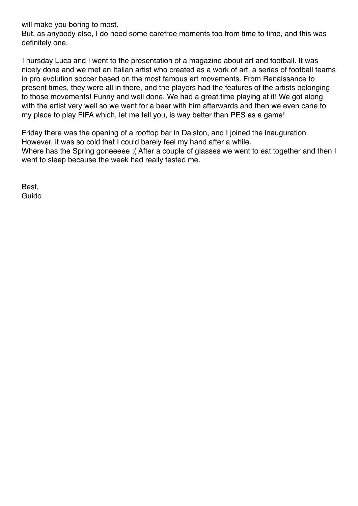will make you boring to most.

But, as anybody else, I do need some carefree moments too from time to time, and this was definitely one.

Thursday Luca and I went to the presentation of a magazine about art and football. It was nicely done and we met an Italian artist who created as a work of art, a series of football teams in pro evolution soccer based on the most famous art movements. From Renaissance to present times, they were all in there, and the players had the features of the artists belonging to those movements! Funny and well done. We had a great time playing at it! We got along with the artist very well so we went for a beer with him afterwards and then we even cane to my place to play FIFA which, let me tell you, is way better than PES as a game!

Friday there was the opening of a rooftop bar in Dalston, and I joined the inauguration. However, it was so cold that I could barely feel my hand after a while. Where has the Spring goneeeee ;( After a couple of glasses we went to eat together and then I went to sleep because the week had really tested me.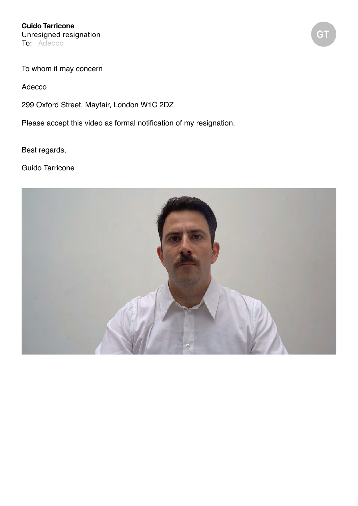To whom it may concern

Adecco

299 Oxford Street, Mayfair, London W1C 2DZ

Please accept this video as formal notification of my resignation.

Best regards,

Guido Tarricone



**GT**